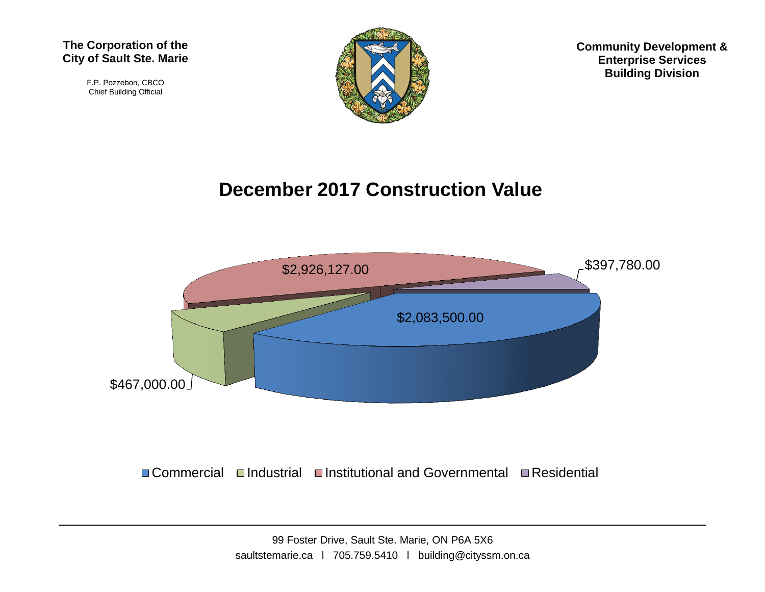F.P. Pozzebon, CBCO Chief Building Official



**Community Development & Enterprise Services Building Division**

## **December 2017 Construction Value**



■Commercial Industrial Institutional and Governmental InResidential

99 Foster Drive, Sault Ste. Marie, ON P6A 5X6 saultstemarie.ca | 705.759.5410 | building@cityssm.on.ca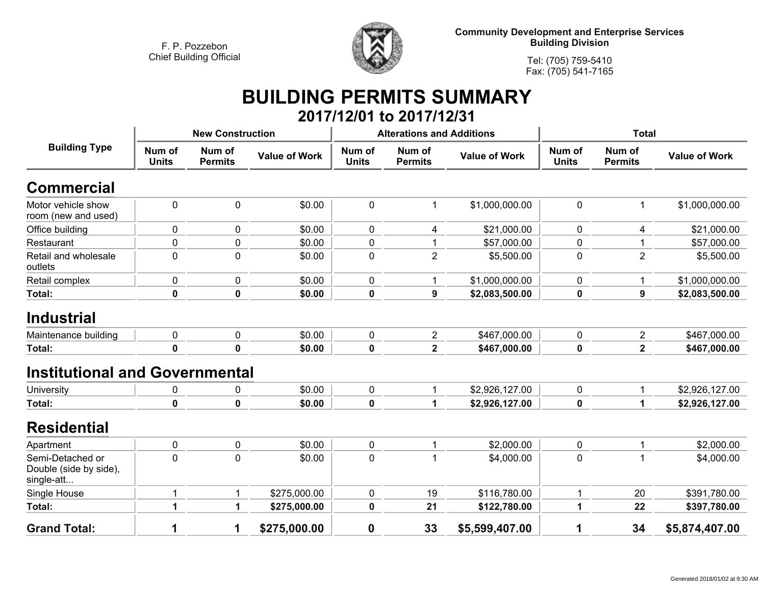

**Community Development and Enterprise Services Building Division**

**Tel: (705) 759-5410Fax: (705) 541-7165**

## **BUILDING PERMITS SUMMARY 2017/12/01 to 2017/12/31**

| <b>Building Type</b>                                     |                        | <b>New Construction</b>  |                      |                        | <b>Alterations and Additions</b> |                      | <b>Total</b>           |                          |                      |
|----------------------------------------------------------|------------------------|--------------------------|----------------------|------------------------|----------------------------------|----------------------|------------------------|--------------------------|----------------------|
|                                                          | Num of<br><b>Units</b> | Num of<br><b>Permits</b> | <b>Value of Work</b> | Num of<br><b>Units</b> | Num of<br><b>Permits</b>         | <b>Value of Work</b> | Num of<br><b>Units</b> | Num of<br><b>Permits</b> | <b>Value of Work</b> |
| <b>Commercial</b>                                        |                        |                          |                      |                        |                                  |                      |                        |                          |                      |
| Motor vehicle show<br>room (new and used)                | 0                      | 0                        | \$0.00               | 0                      | 1                                | \$1,000,000.00       | $\mathbf 0$            | 1                        | \$1,000,000.00       |
| Office building                                          | $\mathbf 0$            | 0                        | \$0.00               | $\mathbf 0$            | 4                                | \$21,000.00          | $\mathbf 0$            | 4                        | \$21,000.00          |
| Restaurant                                               | 0                      | 0                        | \$0.00               | 0                      | 1                                | \$57,000.00          | 0                      | 1                        | \$57,000.00          |
| Retail and wholesale<br>outlets                          | $\mathbf 0$            | 0                        | \$0.00               | 0                      | $\mathbf 2$                      | \$5,500.00           | $\mathbf 0$            | $\overline{2}$           | \$5,500.00           |
| Retail complex                                           | $\pmb{0}$              | 0                        | \$0.00               | $\pmb{0}$              | 1                                | \$1,000,000.00       | $\pmb{0}$              | $\mathbf 1$              | \$1,000,000.00       |
| Total:                                                   | $\mathbf 0$            | 0                        | \$0.00               | $\boldsymbol{0}$       | 9                                | \$2,083,500.00       | $\mathbf 0$            | 9                        | \$2,083,500.00       |
| <b>Industrial</b>                                        |                        |                          |                      |                        |                                  |                      |                        |                          |                      |
| Maintenance building                                     | $\pmb{0}$              | 0                        | \$0.00               | 0                      | $\overline{c}$                   | \$467,000.00         | 0                      | $\overline{2}$           | \$467,000.00         |
| Total:                                                   | $\mathbf 0$            | $\mathbf 0$              | \$0.00               | 0                      | $\overline{2}$                   | \$467,000.00         | $\mathbf 0$            | $\overline{2}$           | \$467,000.00         |
| <b>Institutional and Governmental</b>                    |                        |                          |                      |                        |                                  |                      |                        |                          |                      |
| University                                               | $\pmb{0}$              | 0                        | \$0.00               | $\mathbf 0$            | 1                                | \$2,926,127.00       | $\mathbf 0$            | $\mathbf{1}$             | \$2,926,127.00       |
| Total:                                                   | $\mathbf 0$            | 0                        | \$0.00               | $\boldsymbol{0}$       | 1                                | \$2,926,127.00       | $\mathbf 0$            | 1                        | \$2,926,127.00       |
| <b>Residential</b>                                       |                        |                          |                      |                        |                                  |                      |                        |                          |                      |
| Apartment                                                | $\mathbf 0$            | 0                        | \$0.00               | $\mathbf 0$            | 1                                | \$2,000.00           | $\mathbf 0$            |                          | \$2,000.00           |
| Semi-Detached or<br>Double (side by side),<br>single-att | $\mathbf 0$            | 0                        | \$0.00               | 0                      | $\mathbf{1}$                     | \$4,000.00           | $\mathbf 0$            | 1                        | \$4,000.00           |
| Single House                                             | 1                      | 1                        | \$275,000.00         | $\mathbf 0$            | 19                               | \$116,780.00         | $\mathbf 1$            | 20                       | \$391,780.00         |
| Total:                                                   | 1                      | 1                        | \$275,000.00         | $\boldsymbol{0}$       | 21                               | \$122,780.00         | 1                      | 22                       | \$397,780.00         |
| <b>Grand Total:</b>                                      | 1                      | 1                        | \$275,000.00         | 0                      | 33                               | \$5,599,407.00       | 1                      | 34                       | \$5,874,407.00       |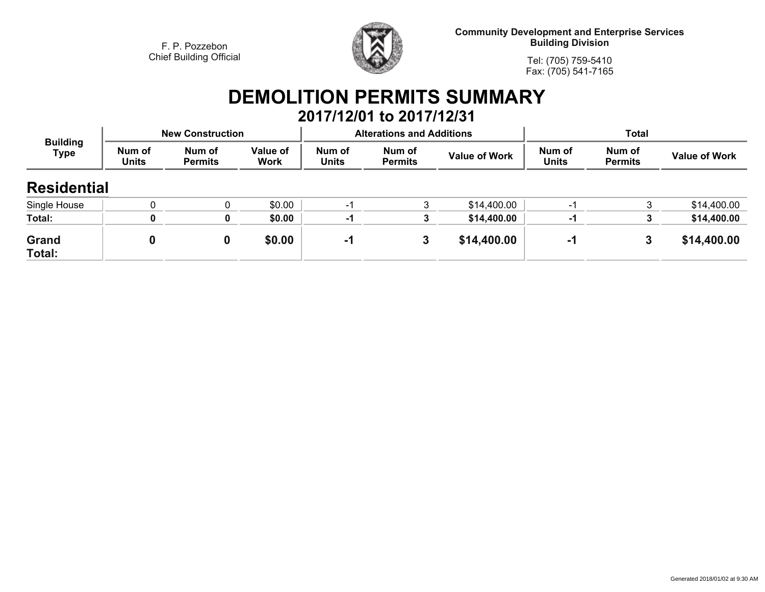

**Community Development and Enterprise Services Building Division**

**Tel: (705) 759-5410Fax: (705) 541-7165**

## **DEMOLITION PERMITS SUMMARY**

|                                |                        |                          |                  |                        | 2017/12/01 to 2017/12/31         |                      |                        |                          |                      |  |
|--------------------------------|------------------------|--------------------------|------------------|------------------------|----------------------------------|----------------------|------------------------|--------------------------|----------------------|--|
| <b>Building</b><br><b>Type</b> |                        | <b>New Construction</b>  |                  |                        | <b>Alterations and Additions</b> |                      | <b>Total</b>           |                          |                      |  |
|                                | Num of<br><b>Units</b> | Num of<br><b>Permits</b> | Value of<br>Work | Num of<br><b>Units</b> | Num of<br><b>Permits</b>         | <b>Value of Work</b> | Num of<br><b>Units</b> | Num of<br><b>Permits</b> | <b>Value of Work</b> |  |
| <b>Residential</b>             |                        |                          |                  |                        |                                  |                      |                        |                          |                      |  |
| Single House                   |                        |                          | \$0.00           | -1                     | 3                                | \$14,400.00          | -1                     | 3                        | \$14,400.00          |  |
| Total:                         | 0                      | 0                        | \$0.00           | -1                     | 3                                | \$14,400.00          | -1                     |                          | \$14,400.00          |  |
| <b>Grand</b><br>Total:         | 0                      | 0                        | \$0.00           | -1                     | 3                                | \$14,400.00          | -1                     | 3                        | \$14,400.00          |  |